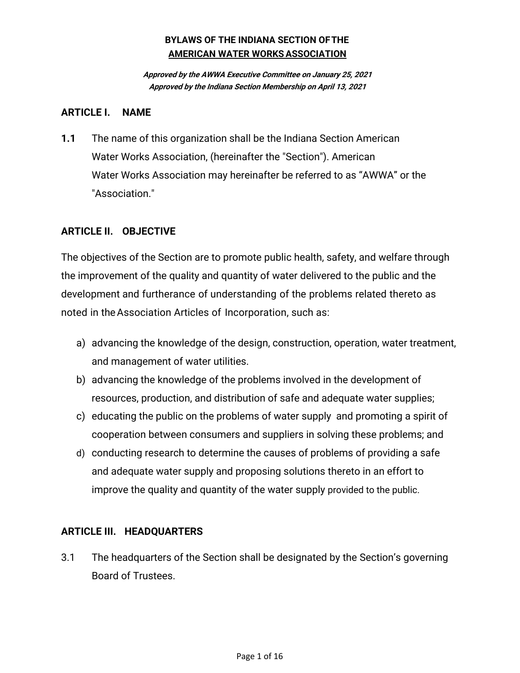**Approved by the AWWA Executive Committee on January 25, 2021 Approved by the Indiana Section Membership on April 13, 2021**

#### **ARTICLE I. NAME**

**1.1** The name of this organization shall be the Indiana Section American Water Works Association, (hereinafter the "Section"). American Water Works Association may hereinafter be referred to as "AWWA" or the "Association."

## **ARTICLE II. OBJECTIVE**

The objectives of the Section are to promote public health, safety, and welfare through the improvement of the quality and quantity of water delivered to the public and the development and furtherance of understanding of the problems related thereto as noted in theAssociation Articles of Incorporation, such as:

- a) advancing the knowledge of the design, construction, operation, water treatment, and management of water utilities.
- b) advancing the knowledge of the problems involved in the development of resources, production, and distribution of safe and adequate water supplies;
- c) educating the public on the problems of water supply and promoting a spirit of cooperation between consumers and suppliers in solving these problems; and
- d) conducting research to determine the causes of problems of providing a safe and adequate water supply and proposing solutions thereto in an effort to improve the quality and quantity of the water supply provided to the public.

## **ARTICLE III. HEADQUARTERS**

3.1 The headquarters of the Section shall be designated by the Section's governing Board of Trustees.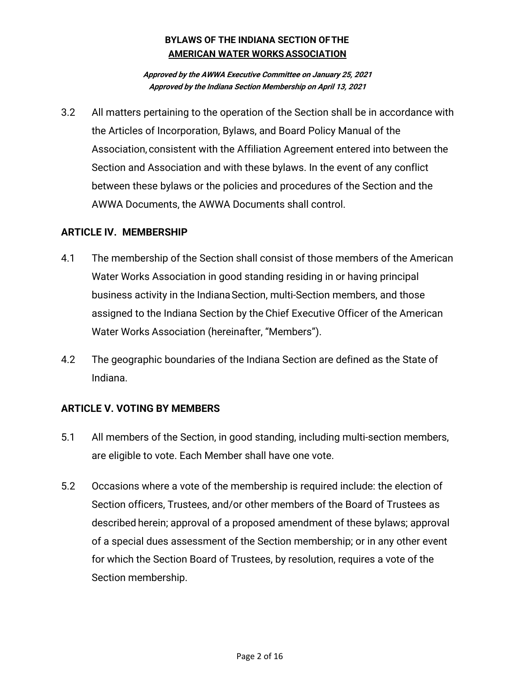**Approved by the AWWA Executive Committee on January 25, 2021 Approved by the Indiana Section Membership on April 13, 2021**

3.2 All matters pertaining to the operation of the Section shall be in accordance with the Articles of Incorporation, Bylaws, and Board Policy Manual of the Association, consistent with the Affiliation Agreement entered into between the Section and Association and with these bylaws. In the event of any conflict between these bylaws or the policies and procedures of the Section and the AWWA Documents, the AWWA Documents shall control.

## **ARTICLE IV. MEMBERSHIP**

- 4.1 The membership of the Section shall consist of those members of the American Water Works Association in good standing residing in or having principal business activity in the IndianaSection, multi‐Section members, and those assigned to the Indiana Section by the Chief Executive Officer of the American Water Works Association (hereinafter, "Members").
- 4.2 The geographic boundaries of the Indiana Section are defined as the State of Indiana.

## **ARTICLE V. VOTING BY MEMBERS**

- 5.1 All members of the Section, in good standing, including multi‐section members, are eligible to vote. Each Member shall have one vote.
- 5.2 Occasions where a vote of the membership is required include: the election of Section officers, Trustees, and/or other members of the Board of Trustees as described herein; approval of a proposed amendment of these bylaws; approval of a special dues assessment of the Section membership; or in any other event for which the Section Board of Trustees, by resolution, requires a vote of the Section membership.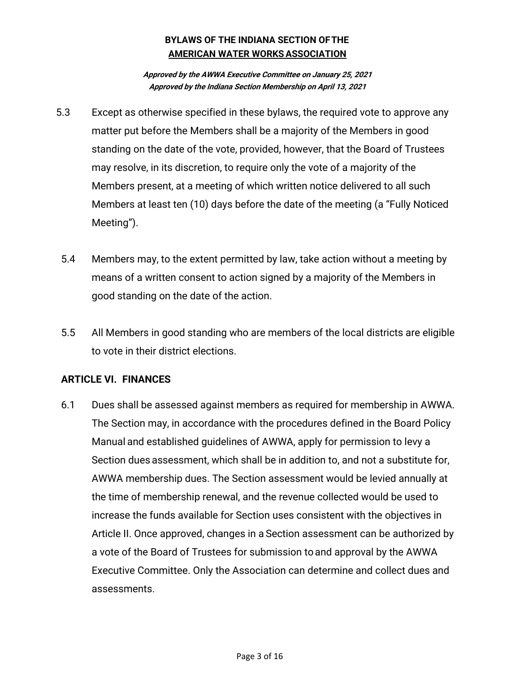**Approved by the AWWA Executive Committee on January 25, 2021 Approved by the Indiana Section Membership on April 13, 2021**

- 5.3 Except as otherwise specified in these bylaws, the required vote to approve any matter put before the Members shall be a majority of the Members in good standing on the date of the vote, provided, however, that the Board of Trustees may resolve, in its discretion, to require only the vote of a majority of the Members present, at a meeting of which written notice delivered to all such Members at least ten (10) days before the date of the meeting (a "Fully Noticed Meeting").
- 5.4 Members may, to the extent permitted by law, take action without a meeting by means of a written consent to action signed by a majority of the Members in good standing on the date of the action.
- 5.5 All Members in good standing who are members of the local districts are eligible to vote in their district elections.

## **ARTICLE VI. FINANCES**

6.1 Dues shall be assessed against members as required for membership in AWWA. The Section may, in accordance with the procedures defined in the Board Policy Manual and established guidelines of AWWA, apply for permission to levy a Section dues assessment, which shall be in addition to, and not a substitute for, AWWA membership dues. The Section assessment would be levied annually at the time of membership renewal, and the revenue collected would be used to increase the funds available for Section uses consistent with the objectives in Article II. Once approved, changes in a Section assessment can be authorized by a vote of the Board of Trustees for submission toand approval by the AWWA Executive Committee. Only the Association can determine and collect dues and assessments.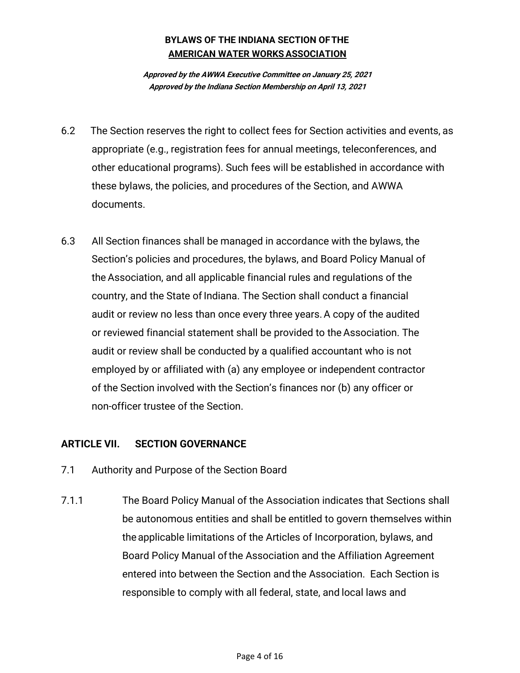**Approved by the AWWA Executive Committee on January 25, 2021 Approved by the Indiana Section Membership on April 13, 2021**

- 6.2 The Section reserves the right to collect fees for Section activities and events, as appropriate (e.g., registration fees for annual meetings, teleconferences, and other educational programs). Such fees will be established in accordance with these bylaws, the policies, and procedures of the Section, and AWWA documents.
- 6.3 All Section finances shall be managed in accordance with the bylaws, the Section's policies and procedures, the bylaws, and Board Policy Manual of the Association, and all applicable financial rules and regulations of the country, and the State of Indiana. The Section shall conduct a financial audit or review no less than once every three years.A copy of the audited or reviewed financial statement shall be provided to the Association. The audit or review shall be conducted by a qualified accountant who is not employed by or affiliated with (a) any employee or independent contractor of the Section involved with the Section's finances nor (b) any officer or non-officer trustee of the Section.

## **ARTICLE VII. SECTION GOVERNANCE**

- 7.1 Authority and Purpose of the Section Board
- 7.1.1 The Board Policy Manual of the Association indicates that Sections shall be autonomous entities and shall be entitled to govern themselves within theapplicable limitations of the Articles of Incorporation, bylaws, and Board Policy Manual ofthe Association and the Affiliation Agreement entered into between the Section and the Association. Each Section is responsible to comply with all federal, state, and local laws and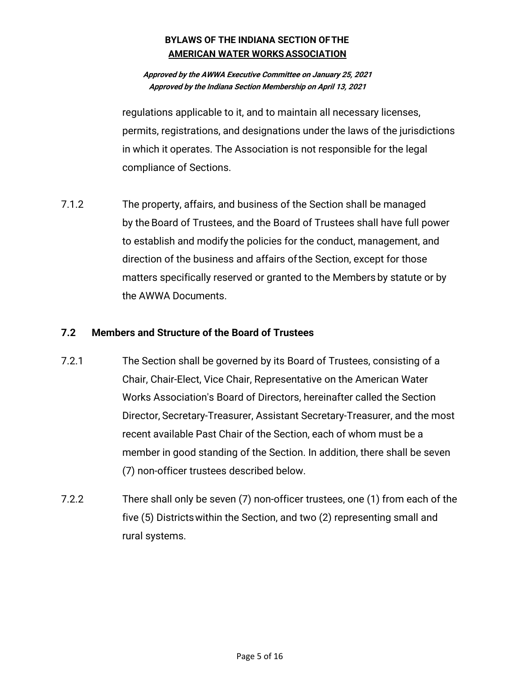#### **Approved by the AWWA Executive Committee on January 25, 2021 Approved by the Indiana Section Membership on April 13, 2021**

regulations applicable to it, and to maintain all necessary licenses, permits, registrations, and designations under the laws of the jurisdictions in which it operates. The Association is not responsible for the legal compliance of Sections.

7.1.2 The property, affairs, and business of the Section shall be managed by the Board of Trustees, and the Board of Trustees shall have full power to establish and modify the policies for the conduct, management, and direction of the business and affairs ofthe Section, except for those matters specifically reserved or granted to the Members by statute or by the AWWA Documents.

## **7.2 Members and Structure of the Board of Trustees**

- 7.2.1 The Section shall be governed by its Board of Trustees, consisting of a Chair, Chair‐Elect, Vice Chair, Representative on the American Water Works Association's Board of Directors, hereinafter called the Section Director, Secretary‐Treasurer, Assistant Secretary‐Treasurer, and the most recent available Past Chair of the Section, each of whom must be a member in good standing of the Section. In addition, there shall be seven (7) non-officer trustees described below.
- 7.2.2 There shall only be seven (7) non-officer trustees, one (1) from each of the five (5) Districtswithin the Section, and two (2) representing small and rural systems.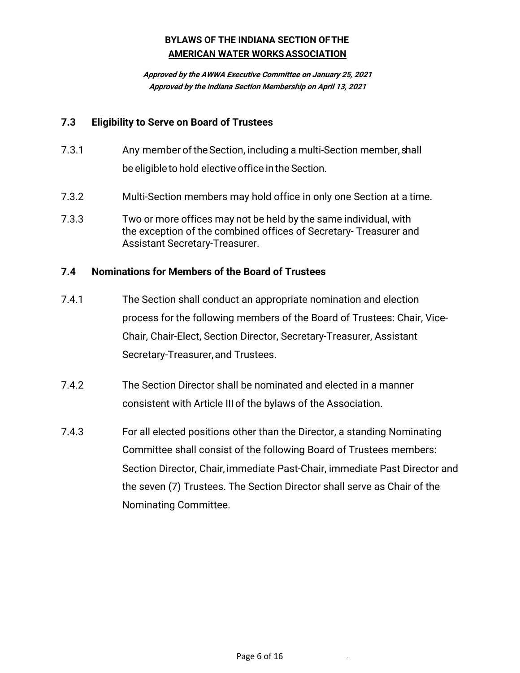**Approved by the AWWA Executive Committee on January 25, 2021 Approved by the Indiana Section Membership on April 13, 2021**

#### **7.3 Eligibility to Serve on Board of Trustees**

- 7.3.1 Any member of the Section, including a multi-Section member, shall be eligible to hold elective office in the Section.
- 7.3.2 Multi‐Section members may hold office in only one Section at a time.
- 7.3.3 Two or more offices may not be held by the same individual, with the exception of the combined offices of Secretary- Treasurer and Assistant Secretary-Treasurer.

#### **7.4 Nominations for Members of the Board of Trustees**

- 7.4.1 The Section shall conduct an appropriate nomination and election process for the following members of the Board of Trustees: Chair, Vice‐ Chair, Chair‐Elect, Section Director, Secretary-Treasurer, Assistant Secretary-Treasurer,and Trustees.
- 7.4.2 The Section Director shall be nominated and elected in a manner consistent with Article III of the bylaws of the Association.
- 7.4.3 For all elected positions other than the Director, a standing Nominating Committee shall consist of the following Board of Trustees members: Section Director, Chair, immediate Past‐Chair, immediate Past Director and the seven (7) Trustees. The Section Director shall serve as Chair of the Nominating Committee.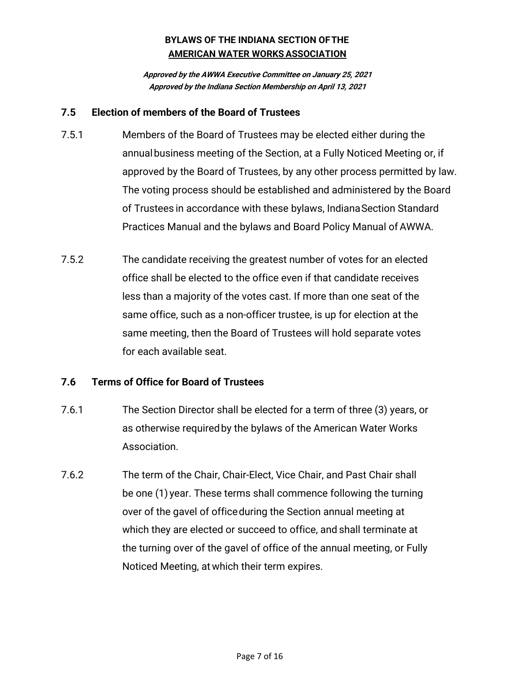**Approved by the AWWA Executive Committee on January 25, 2021 Approved by the Indiana Section Membership on April 13, 2021**

#### **7.5 Election of members of the Board of Trustees**

- 7.5.1 Members of the Board of Trustees may be elected either during the annualbusiness meeting of the Section, at a Fully Noticed Meeting or, if approved by the Board of Trustees, by any other process permitted by law. The voting process should be established and administered by the Board of Trustees in accordance with these bylaws, IndianaSection Standard Practices Manual and the bylaws and Board Policy Manual of AWWA.
- 7.5.2 The candidate receiving the greatest number of votes for an elected office shall be elected to the office even if that candidate receives less than a majority of the votes cast. If more than one seat of the same office, such as a non-officer trustee, is up for election at the same meeting, then the Board of Trustees will hold separate votes for each available seat.

## **7.6 Terms of Office for Board of Trustees**

- 7.6.1 The Section Director shall be elected for a term of three (3) years, or as otherwise requiredby the bylaws of the American Water Works Association.
- 7.6.2 The term of the Chair, Chair‐Elect, Vice Chair, and Past Chair shall be one (1) year. These terms shall commence following the turning over of the gavel of officeduring the Section annual meeting at which they are elected or succeed to office, and shall terminate at the turning over of the gavel of office of the annual meeting, or Fully Noticed Meeting, at which their term expires.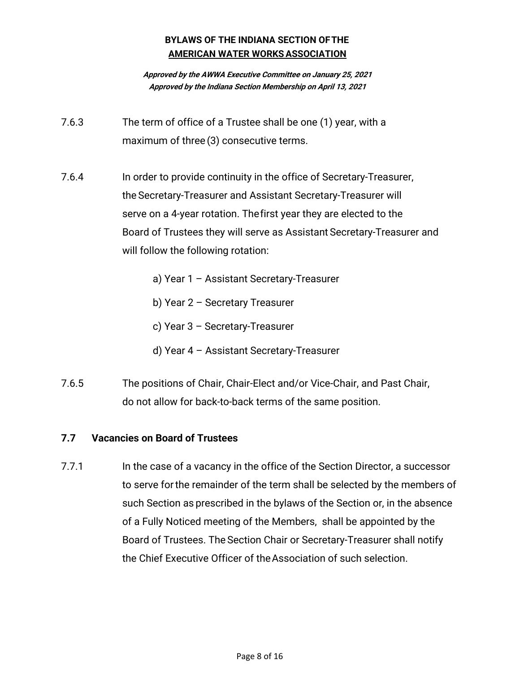**Approved by the AWWA Executive Committee on January 25, 2021 Approved by the Indiana Section Membership on April 13, 2021**

- 7.6.3 The term of office of a Trustee shall be one (1) year, with a maximum of three (3) consecutive terms.
- 7.6.4 In order to provide continuity in the office of Secretary‐Treasurer, the Secretary‐Treasurer and Assistant Secretary‐Treasurer will serve on a 4‐year rotation. Thefirst year they are elected to the Board of Trustees they will serve as Assistant Secretary‐Treasurer and will follow the following rotation:
	- a) Year 1 Assistant Secretary‐Treasurer
	- b) Year 2 Secretary Treasurer
	- c) Year 3 Secretary‐Treasurer
	- d) Year 4 Assistant Secretary‐Treasurer
- 7.6.5 The positions of Chair, Chair-Elect and/or Vice-Chair, and Past Chair, do not allow for back-to-back terms of the same position.

## **7.7 Vacancies on Board of Trustees**

7.7.1 In the case of a vacancy in the office of the Section Director, a successor to serve forthe remainder of the term shall be selected by the members of such Section as prescribed in the bylaws of the Section or, in the absence of a Fully Noticed meeting of the Members, shall be appointed by the Board of Trustees. The Section Chair or Secretary‐Treasurer shall notify the Chief Executive Officer of theAssociation of such selection.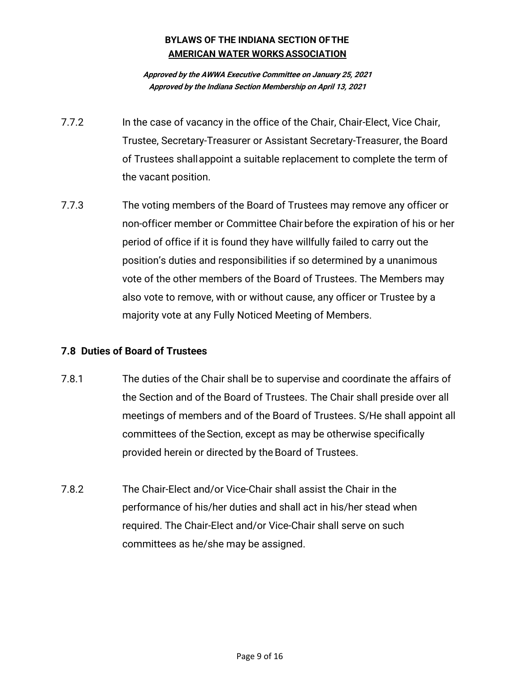**Approved by the AWWA Executive Committee on January 25, 2021 Approved by the Indiana Section Membership on April 13, 2021**

- 7.7.2 In the case of vacancy in the office of the Chair, Chair-Elect, Vice Chair, Trustee, Secretary‐Treasurer or Assistant Secretary‐Treasurer, the Board of Trustees shallappoint a suitable replacement to complete the term of the vacant position.
- 7.7.3 The voting members of the Board of Trustees may remove any officer or non-officer member or Committee Chair before the expiration of his or her period of office if it is found they have willfully failed to carry out the position's duties and responsibilities if so determined by a unanimous vote of the other members of the Board of Trustees. The Members may also vote to remove, with or without cause, any officer or Trustee by a majority vote at any Fully Noticed Meeting of Members.

## **7.8 Duties of Board of Trustees**

- 7.8.1 The duties of the Chair shall be to supervise and coordinate the affairs of the Section and of the Board of Trustees. The Chair shall preside over all meetings of members and of the Board of Trustees. S/He shall appoint all committees of the Section, except as may be otherwise specifically provided herein or directed by the Board of Trustees.
- 7.8.2 The Chair-Elect and/or Vice-Chair shall assist the Chair in the performance of his/her duties and shall act in his/her stead when required. The Chair-Elect and/or Vice-Chair shall serve on such committees as he/she may be assigned.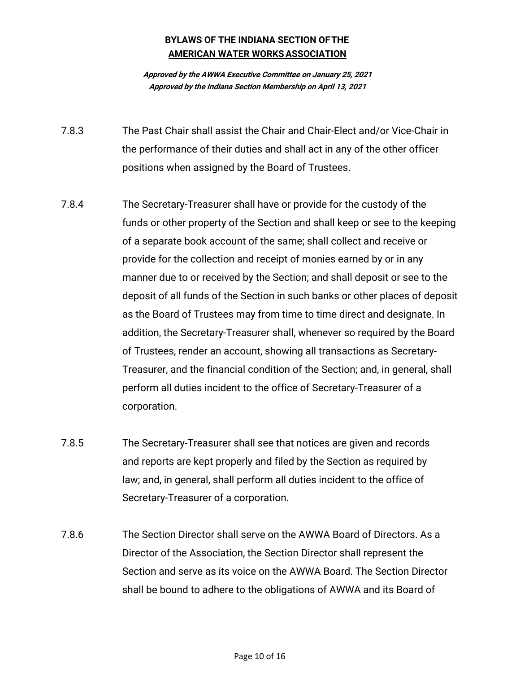**Approved by the AWWA Executive Committee on January 25, 2021 Approved by the Indiana Section Membership on April 13, 2021**

- 7.8.3 The Past Chair shall assist the Chair and Chair-Elect and/or Vice-Chair in the performance of their duties and shall act in any of the other officer positions when assigned by the Board of Trustees.
- 7.8.4 The Secretary-Treasurer shall have or provide for the custody of the funds or other property of the Section and shall keep or see to the keeping of a separate book account of the same; shall collect and receive or provide for the collection and receipt of monies earned by or in any manner due to or received by the Section; and shall deposit or see to the deposit of all funds of the Section in such banks or other places of deposit as the Board of Trustees may from time to time direct and designate. In addition, the Secretary-Treasurer shall, whenever so required by the Board of Trustees, render an account, showing all transactions as Secretary-Treasurer, and the financial condition of the Section; and, in general, shall perform all duties incident to the office of Secretary-Treasurer of a corporation.
- 7.8.5 The Secretary-Treasurer shall see that notices are given and records and reports are kept properly and filed by the Section as required by law; and, in general, shall perform all duties incident to the office of Secretary-Treasurer of a corporation.
- 7.8.6 The Section Director shall serve on the AWWA Board of Directors. As a Director of the Association, the Section Director shall represent the Section and serve as its voice on the AWWA Board. The Section Director shall be bound to adhere to the obligations of AWWA and its Board of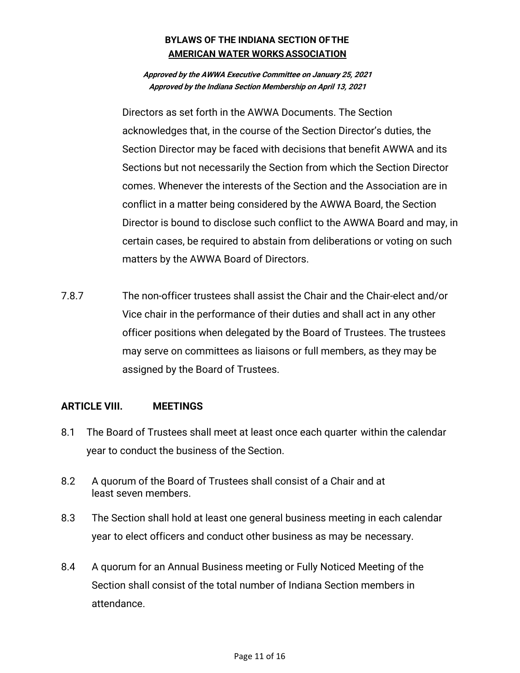**Approved by the AWWA Executive Committee on January 25, 2021 Approved by the Indiana Section Membership on April 13, 2021**

Directors as set forth in the AWWA Documents. The Section acknowledges that, in the course of the Section Director's duties, the Section Director may be faced with decisions that benefit AWWA and its Sections but not necessarily the Section from which the Section Director comes. Whenever the interests of the Section and the Association are in conflict in a matter being considered by the AWWA Board, the Section Director is bound to disclose such conflict to the AWWA Board and may, in certain cases, be required to abstain from deliberations or voting on such matters by the AWWA Board of Directors.

7.8.7 The non-officer trustees shall assist the Chair and the Chair-elect and/or Vice chair in the performance of their duties and shall act in any other officer positions when delegated by the Board of Trustees. The trustees may serve on committees as liaisons or full members, as they may be assigned by the Board of Trustees.

## **ARTICLE VIII. MEETINGS**

- 8.1 The Board of Trustees shall meet at least once each quarter within the calendar year to conduct the business of the Section.
- 8.2 A quorum of the Board of Trustees shall consist of a Chair and at least seven members.
- 8.3 The Section shall hold at least one general business meeting in each calendar year to elect officers and conduct other business as may be necessary.
- 8.4 A quorum for an Annual Business meeting or Fully Noticed Meeting of the Section shall consist of the total number of Indiana Section members in attendance.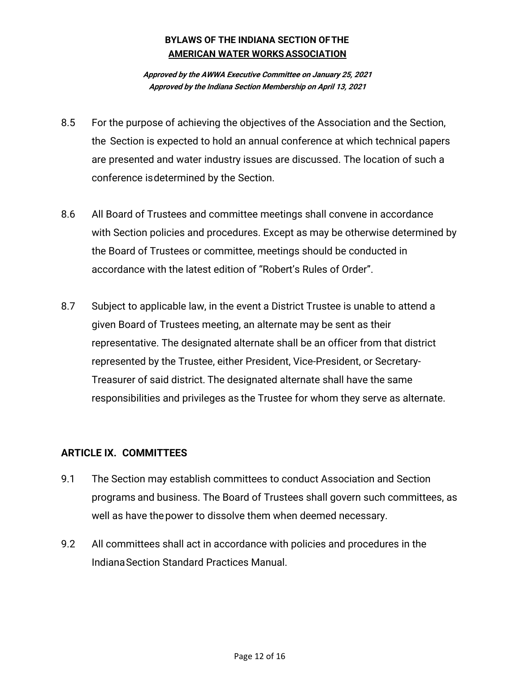**Approved by the AWWA Executive Committee on January 25, 2021 Approved by the Indiana Section Membership on April 13, 2021**

- 8.5 For the purpose of achieving the objectives of the Association and the Section, the Section is expected to hold an annual conference at which technical papers are presented and water industry issues are discussed. The location of such a conference isdetermined by the Section.
- 8.6 All Board of Trustees and committee meetings shall convene in accordance with Section policies and procedures. Except as may be otherwise determined by the Board of Trustees or committee, meetings should be conducted in accordance with the latest edition of "Robert's Rules of Order".
- 8.7 Subject to applicable law, in the event a District Trustee is unable to attend a given Board of Trustees meeting, an alternate may be sent as their representative. The designated alternate shall be an officer from that district represented by the Trustee, either President, Vice-President, or Secretary-Treasurer of said district. The designated alternate shall have the same responsibilities and privileges as the Trustee for whom they serve as alternate.

## **ARTICLE IX. COMMITTEES**

- 9.1 The Section may establish committees to conduct Association and Section programs and business. The Board of Trustees shall govern such committees, as well as have thepower to dissolve them when deemed necessary.
- 9.2 All committees shall act in accordance with policies and procedures in the IndianaSection Standard Practices Manual.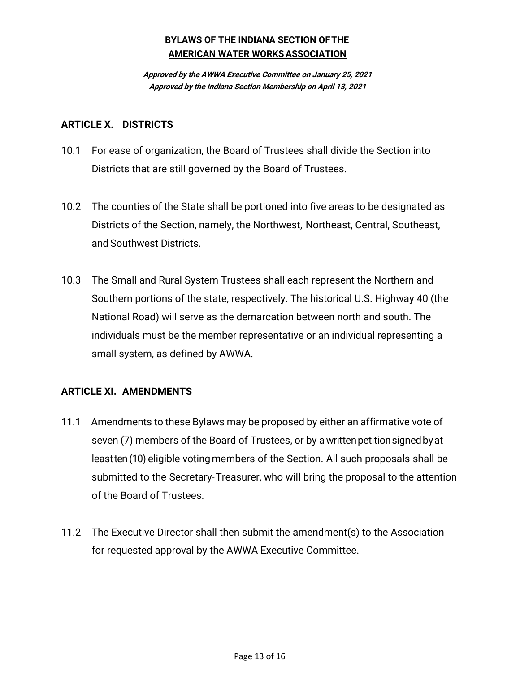**Approved by the AWWA Executive Committee on January 25, 2021 Approved by the Indiana Section Membership on April 13, 2021**

#### **ARTICLE X. DISTRICTS**

- 10.1 For ease of organization, the Board of Trustees shall divide the Section into Districts that are still governed by the Board of Trustees.
- 10.2 The counties of the State shall be portioned into five areas to be designated as Districts of the Section, namely, the Northwest, Northeast, Central, Southeast, and Southwest Districts.
- 10.3 The Small and Rural System Trustees shall each represent the Northern and Southern portions of the state, respectively. The historical U.S. Highway 40 (the National Road) will serve as the demarcation between north and south. The individuals must be the member representative or an individual representing a small system, as defined by AWWA.

## **ARTICLE XI. AMENDMENTS**

- 11.1 Amendments to these Bylaws may be proposed by either an affirmative vote of seven (7) members of the Board of Trustees, or by a writtenpetitionsignedbyat least ten (10) eligible voting members of the Section. All such proposals shall be submitted to the Secretary‐Treasurer, who will bring the proposal to the attention of the Board of Trustees.
- 11.2 The Executive Director shall then submit the amendment(s) to the Association for requested approval by the AWWA Executive Committee.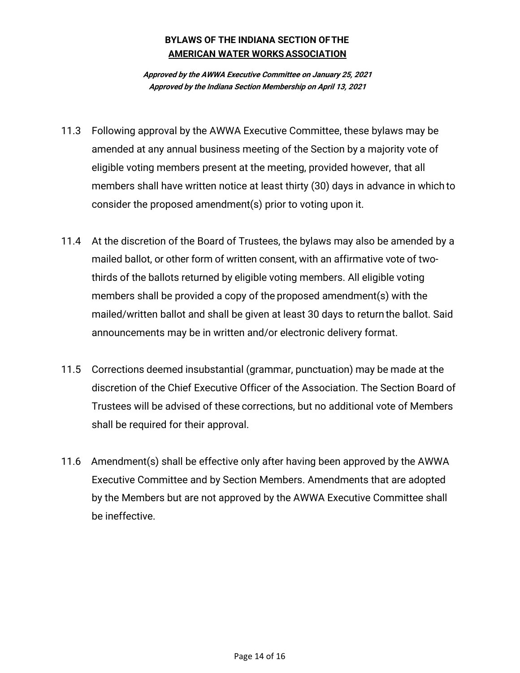**Approved by the AWWA Executive Committee on January 25, 2021 Approved by the Indiana Section Membership on April 13, 2021**

- 11.3 Following approval by the AWWA Executive Committee, these bylaws may be amended at any annual business meeting of the Section by a majority vote of eligible voting members present at the meeting, provided however, that all members shall have written notice at least thirty (30) days in advance in which to consider the proposed amendment(s) prior to voting upon it.
- 11.4 At the discretion of the Board of Trustees, the bylaws may also be amended by a mailed ballot, or other form of written consent, with an affirmative vote of two‐ thirds of the ballots returned by eligible voting members. All eligible voting members shall be provided a copy of the proposed amendment(s) with the mailed/written ballot and shall be given at least 30 days to return the ballot. Said announcements may be in written and/or electronic delivery format.
- 11.5 Corrections deemed insubstantial (grammar, punctuation) may be made at the discretion of the Chief Executive Officer of the Association. The Section Board of Trustees will be advised of these corrections, but no additional vote of Members shall be required for their approval.
- 11.6 Amendment(s) shall be effective only after having been approved by the AWWA Executive Committee and by Section Members. Amendments that are adopted by the Members but are not approved by the AWWA Executive Committee shall be ineffective.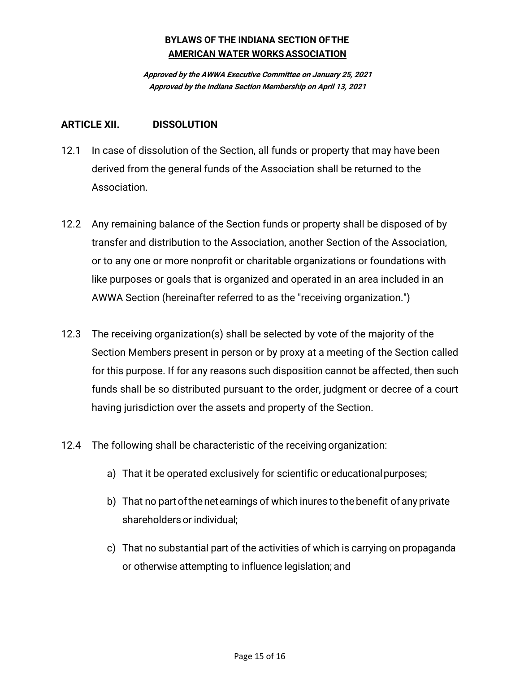**Approved by the AWWA Executive Committee on January 25, 2021 Approved by the Indiana Section Membership on April 13, 2021**

#### **ARTICLE XII. DISSOLUTION**

- 12.1 In case of dissolution of the Section, all funds or property that may have been derived from the general funds of the Association shall be returned to the Association.
- 12.2 Any remaining balance of the Section funds or property shall be disposed of by transfer and distribution to the Association, another Section of the Association, or to any one or more nonprofit or charitable organizations or foundations with like purposes or goals that is organized and operated in an area included in an AWWA Section (hereinafter referred to as the "receiving organization.")
- 12.3 The receiving organization(s) shall be selected by vote of the majority of the Section Members present in person or by proxy at a meeting of the Section called for this purpose. If for any reasons such disposition cannot be affected, then such funds shall be so distributed pursuant to the order, judgment or decree of a court having jurisdiction over the assets and property of the Section.
- 12.4 The following shall be characteristic of the receiving organization:
	- a) That it be operated exclusively for scientific or educationalpurposes;
	- b) That no partofthenetearnings of which inures to thebenefit of any private shareholders or individual:
	- c) That no substantial part of the activities of which is carrying on propaganda or otherwise attempting to influence legislation; and